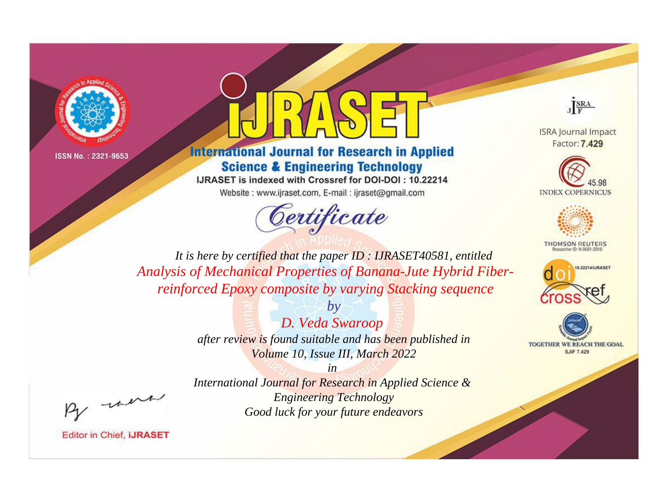



## **International Journal for Research in Applied Science & Engineering Technology**

IJRASET is indexed with Crossref for DOI-DOI: 10.22214 Website: www.ijraset.com, E-mail: ijraset@gmail.com





**ISRA Journal Impact** Factor: 7.429





**THOMSON REUTERS** 



TOGETHER WE REACH THE GOAL **SJIF 7.429** 

*It is here by certified that the paper ID : IJRASET40581, entitled Analysis of Mechanical Properties of Banana-Jute Hybrid Fiberreinforced Epoxy composite by varying Stacking sequence*

> *by D. Veda Swaroop after review is found suitable and has been published in Volume 10, Issue III, March 2022*

, un

*International Journal for Research in Applied Science & Engineering Technology Good luck for your future endeavors*

*in*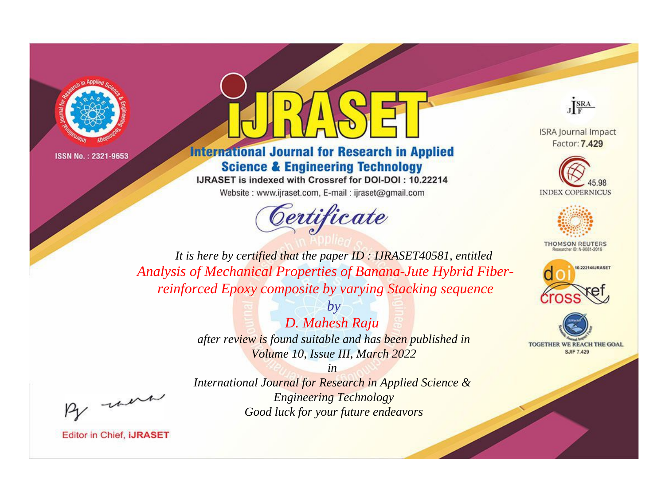



## **International Journal for Research in Applied Science & Engineering Technology**

IJRASET is indexed with Crossref for DOI-DOI: 10.22214 Website: www.ijraset.com, E-mail: ijraset@gmail.com





**ISRA Journal Impact** Factor: 7.429





**THOMSON REUTERS** 



TOGETHER WE REACH THE GOAL **SJIF 7.429** 

*It is here by certified that the paper ID : IJRASET40581, entitled Analysis of Mechanical Properties of Banana-Jute Hybrid Fiberreinforced Epoxy composite by varying Stacking sequence*

> *by D. Mahesh Raju after review is found suitable and has been published in Volume 10, Issue III, March 2022*

, un

*International Journal for Research in Applied Science & Engineering Technology Good luck for your future endeavors*

*in*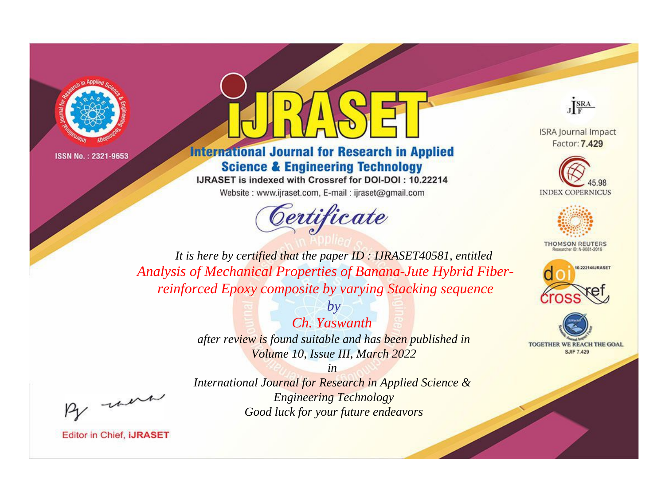



## **International Journal for Research in Applied Science & Engineering Technology**

IJRASET is indexed with Crossref for DOI-DOI: 10.22214 Website: www.ijraset.com, E-mail: ijraset@gmail.com





**ISRA Journal Impact** Factor: 7.429





**THOMSON REUTERS** 



TOGETHER WE REACH THE GOAL **SJIF 7.429** 

*It is here by certified that the paper ID : IJRASET40581, entitled Analysis of Mechanical Properties of Banana-Jute Hybrid Fiberreinforced Epoxy composite by varying Stacking sequence*

> *by Ch. Yaswanth after review is found suitable and has been published in Volume 10, Issue III, March 2022*

*in International Journal for Research in Applied Science & Engineering Technology Good luck for your future endeavors*

, un